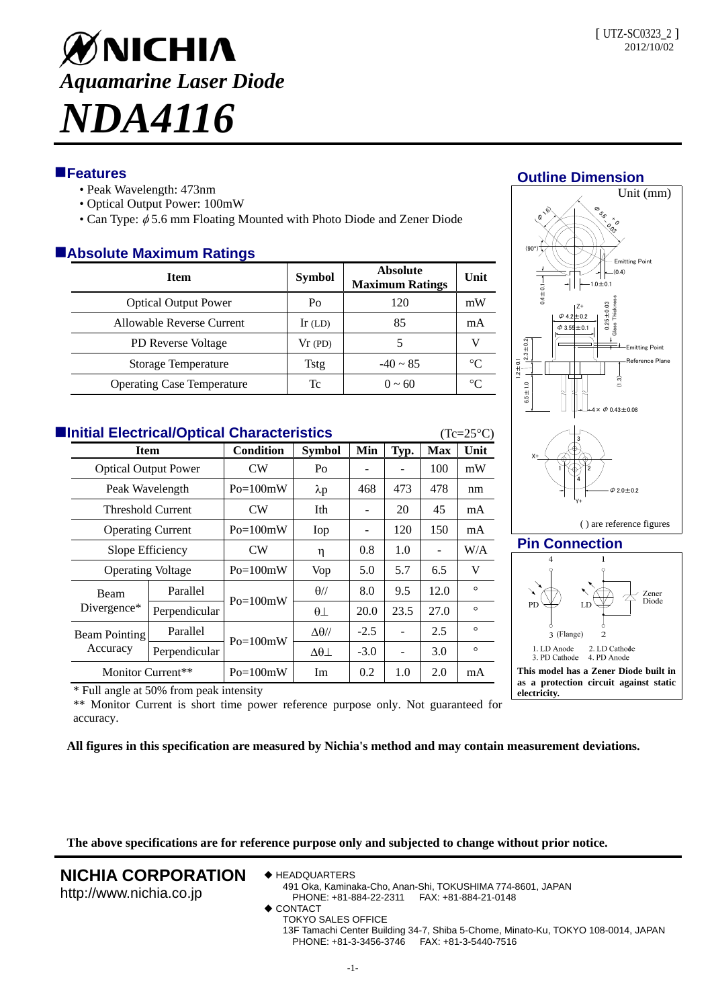# ØNICHIA *Aquamarine Laser Diode NDA4116*

# **Features**

- Peak Wavelength: 473nm
- Optical Output Power: 100mW
- Can Type:  $\phi$  5.6 mm Floating Mounted with Photo Diode and Zener Diode

## **Absolute Maximum Ratings**

| <b>Item</b>                       | <b>Symbol</b> | <b>Absolute</b><br><b>Maximum Ratings</b> | Unit        |  |  |  |  |  |
|-----------------------------------|---------------|-------------------------------------------|-------------|--|--|--|--|--|
| <b>Optical Output Power</b>       | Po            | 120                                       | mW          |  |  |  |  |  |
| Allowable Reverse Current         | Ir $(LD)$     | 85                                        | mA          |  |  |  |  |  |
| <b>PD Reverse Voltage</b>         | Vr(PD)        |                                           |             |  |  |  |  |  |
| <b>Storage Temperature</b>        | <b>Tstg</b>   | $-40 \sim 85$                             | $^{\circ}C$ |  |  |  |  |  |
| <b>Operating Case Temperature</b> | Тc            | $0 \sim 60$                               | $\sim$      |  |  |  |  |  |

| <b>Elnitial Electrical/Optical Characteristics</b><br>$(Tc=25^{\circ}C)$ |                                                                          |               |                  |                     |        |      |                          |         |  |  |
|--------------------------------------------------------------------------|--------------------------------------------------------------------------|---------------|------------------|---------------------|--------|------|--------------------------|---------|--|--|
|                                                                          | <b>Item</b><br><b>Optical Output Power</b><br>Peak Wavelength            |               | <b>Condition</b> | <b>Symbol</b>       | Min    | Typ. | <b>Max</b>               | Unit    |  |  |
|                                                                          |                                                                          |               | <b>CW</b>        | Po                  |        |      | 100                      | mW      |  |  |
|                                                                          |                                                                          |               | $Po=100mW$       | $\lambda p$         | 468    | 473  | 478                      | nm      |  |  |
|                                                                          | Threshold Current                                                        |               | CW               | Ith                 |        | 20   | 45                       | mA      |  |  |
|                                                                          | <b>Operating Current</b><br>Slope Efficiency<br><b>Operating Voltage</b> |               | $Po=100mW$       | Iop                 |        | 120  | 150                      | mA      |  |  |
|                                                                          |                                                                          |               | CW               | η                   | 0.8    | 1.0  | $\overline{\phantom{a}}$ | W/A     |  |  |
|                                                                          |                                                                          |               | $Po=100mW$       | Vop                 | 5.0    | 5.7  | 6.5                      | V       |  |  |
|                                                                          | Beam<br>Divergence*                                                      | Parallel      | $Po=100mW$       | $\theta$ //         | 8.0    | 9.5  | 12.0                     | $\circ$ |  |  |
|                                                                          |                                                                          | Perpendicular |                  | $\theta\bot$        | 20.0   | 23.5 | 27.0                     | $\circ$ |  |  |
|                                                                          | Beam Pointing<br>Accuracy                                                | Parallel      | $Po=100mW$       | $\Delta\theta$ //   | $-2.5$ |      | 2.5                      | $\circ$ |  |  |
|                                                                          |                                                                          | Perpendicular |                  | $\Delta\theta\perp$ | $-3.0$ |      | 3.0                      | $\circ$ |  |  |
|                                                                          | Monitor Current**                                                        |               | $Po=100mW$       | Im                  | 0.2    | 1.0  | 2.0                      | mA      |  |  |

# **Outline Dimension**





\* Full angle at 50% from peak intensity

\*\* Monitor Current is short time power reference purpose only. Not guaranteed for accuracy.

**All figures in this specification are measured by Nichia's method and may contain measurement deviations.**

**The above specifications are for reference purpose only and subjected to change without prior notice.**

# **NICHIA CORPORATION**

http://www.nichia.co.jp

- **← HEADQUARTERS** 
	- 491 Oka, Kaminaka-Cho, Anan-Shi, TOKUSHIMA 774-8601, JAPAN PHONE: +81-884-22-2311 FAX: +81-884-21-0148
	- $\triangle$  CONTACT
	- TOKYO SALES OFFICE

13F Tamachi Center Building 34-7, Shiba 5-Chome, Minato-Ku, TOKYO 108-0014, JAPAN PHONE: +81-3-3456-3746 FAX: +81-3-5440-7516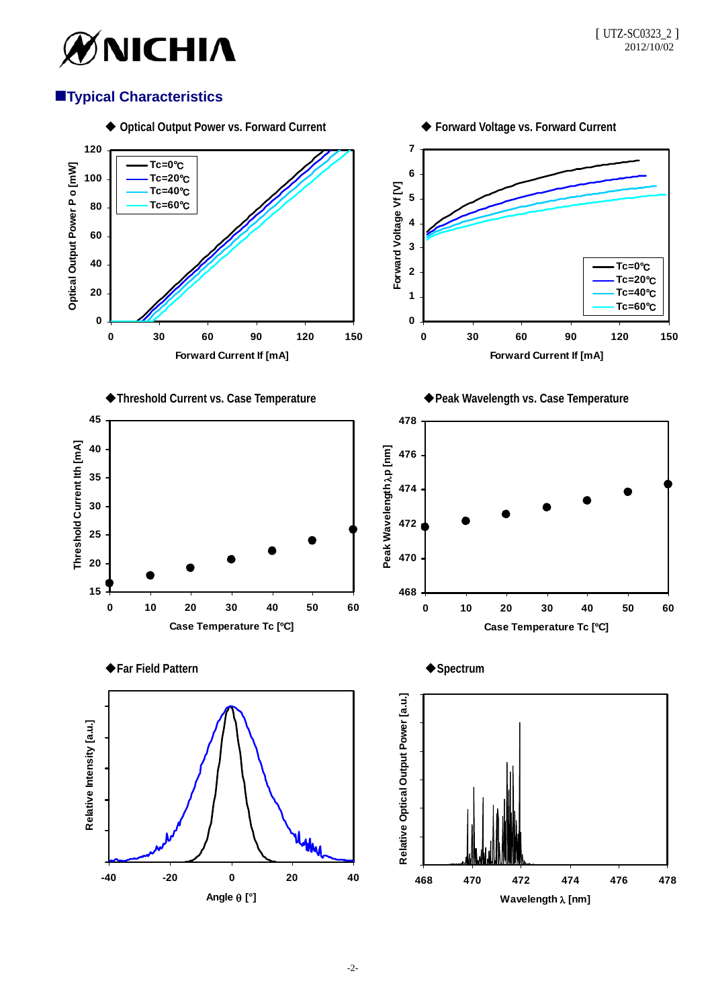

# **Typical Characteristics**